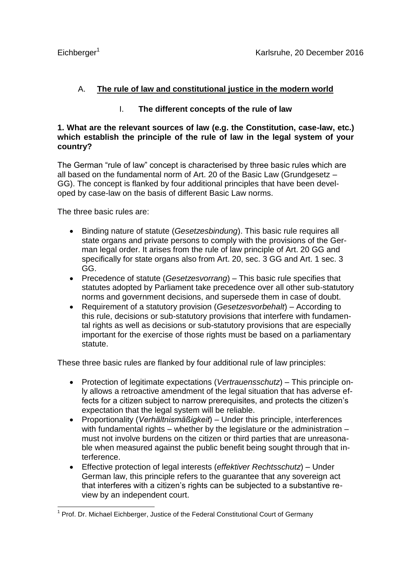# A. **The rule of law and constitutional justice in the modern world**

# I. **The different concepts of the rule of law**

# **1. What are the relevant sources of law (e.g. the Constitution, case-law, etc.) which establish the principle of the rule of law in the legal system of your country?**

The German "rule of law" concept is characterised by three basic rules which are all based on the fundamental norm of Art. 20 of the Basic Law (Grundgesetz – GG). The concept is flanked by four additional principles that have been developed by case-law on the basis of different Basic Law norms.

The three basic rules are:

- Binding nature of statute (*Gesetzesbindung*). This basic rule requires all state organs and private persons to comply with the provisions of the German legal order. It arises from the rule of law principle of Art. 20 GG and specifically for state organs also from Art. 20, sec. 3 GG and Art. 1 sec. 3 GG.
- Precedence of statute (*Gesetzesvorrang*) This basic rule specifies that statutes adopted by Parliament take precedence over all other sub-statutory norms and government decisions, and supersede them in case of doubt.
- Requirement of a statutory provision (*Gesetzesvorbehalt*) According to this rule, decisions or sub-statutory provisions that interfere with fundamental rights as well as decisions or sub-statutory provisions that are especially important for the exercise of those rights must be based on a parliamentary statute.

These three basic rules are flanked by four additional rule of law principles:

- Protection of legitimate expectations (*Vertrauensschutz*) This principle only allows a retroactive amendment of the legal situation that has adverse effects for a citizen subject to narrow prerequisites, and protects the citizen's expectation that the legal system will be reliable.
- Proportionality (*Verhältnismäßigkeit*) Under this principle, interferences with fundamental rights – whether by the legislature or the administration – must not involve burdens on the citizen or third parties that are unreasonable when measured against the public benefit being sought through that interference.
- Effective protection of legal interests (*effektiver Rechtsschutz*) Under German law, this principle refers to the guarantee that any sovereign act that interferes with a citizen's rights can be subjected to a substantive review by an independent court.

<sup>1</sup> <sup>1</sup> Prof. Dr. Michael Eichberger, Justice of the Federal Constitutional Court of Germany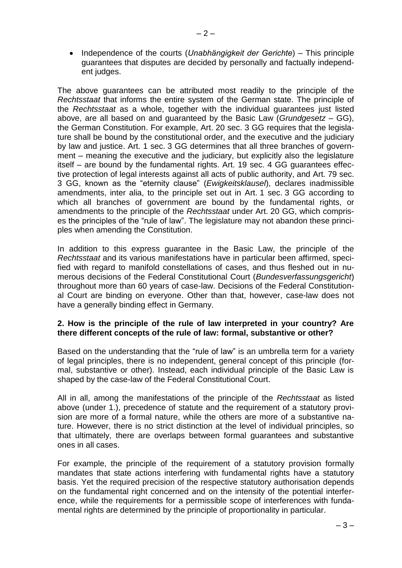• Independence of the courts (*Unabhängigkeit der Gerichte*) – This principle guarantees that disputes are decided by personally and factually independent judges.

The above guarantees can be attributed most readily to the principle of the *Rechtsstaat* that informs the entire system of the German state. The principle of the *Rechtsstaat* as a whole, together with the individual guarantees just listed above, are all based on and guaranteed by the Basic Law (*Grundgesetz –* GG), the German Constitution. For example, Art. 20 sec. 3 GG requires that the legislature shall be bound by the constitutional order, and the executive and the judiciary by law and justice. Art. 1 sec. 3 GG determines that all three branches of government – meaning the executive and the judiciary, but explicitly also the legislature itself – are bound by the fundamental rights. Art. 19 sec. 4 GG guarantees effective protection of legal interests against all acts of public authority, and Art. 79 sec. 3 GG, known as the "eternity clause" (*Ewigkeitsklausel*), declares inadmissible amendments, inter alia, to the principle set out in Art. 1 sec. 3 GG according to which all branches of government are bound by the fundamental rights, or amendments to the principle of the *Rechtsstaat* under Art. 20 GG, which comprises the principles of the "rule of law". The legislature may not abandon these principles when amending the Constitution.

In addition to this express guarantee in the Basic Law, the principle of the *Rechtsstaat* and its various manifestations have in particular been affirmed, specified with regard to manifold constellations of cases, and thus fleshed out in numerous decisions of the Federal Constitutional Court (*Bundesverfassungsgericht*) throughout more than 60 years of case-law. Decisions of the Federal Constitutional Court are binding on everyone. Other than that, however, case-law does not have a generally binding effect in Germany.

## **2. How is the principle of the rule of law interpreted in your country? Are there different concepts of the rule of law: formal, substantive or other?**

Based on the understanding that the "rule of law" is an umbrella term for a variety of legal principles, there is no independent, general concept of this principle (formal, substantive or other). Instead, each individual principle of the Basic Law is shaped by the case-law of the Federal Constitutional Court.

All in all, among the manifestations of the principle of the *Rechtsstaat* as listed above (under 1.), precedence of statute and the requirement of a statutory provision are more of a formal nature, while the others are more of a substantive nature. However, there is no strict distinction at the level of individual principles, so that ultimately, there are overlaps between formal guarantees and substantive ones in all cases.

For example, the principle of the requirement of a statutory provision formally mandates that state actions interfering with fundamental rights have a statutory basis. Yet the required precision of the respective statutory authorisation depends on the fundamental right concerned and on the intensity of the potential interference, while the requirements for a permissible scope of interferences with fundamental rights are determined by the principle of proportionality in particular.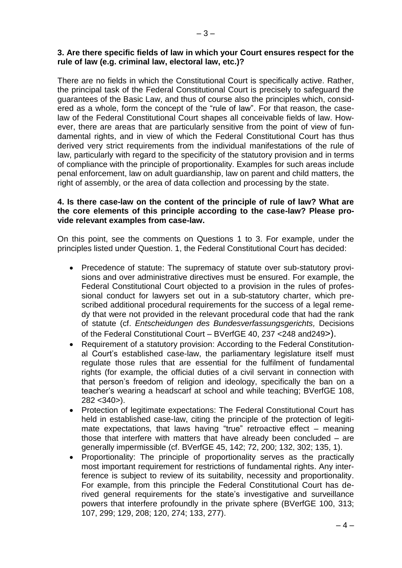#### **3. Are there specific fields of law in which your Court ensures respect for the rule of law (e.g. criminal law, electoral law, etc.)?**

There are no fields in which the Constitutional Court is specifically active. Rather, the principal task of the Federal Constitutional Court is precisely to safeguard the guarantees of the Basic Law, and thus of course also the principles which, considered as a whole, form the concept of the "rule of law". For that reason, the caselaw of the Federal Constitutional Court shapes all conceivable fields of law. However, there are areas that are particularly sensitive from the point of view of fundamental rights, and in view of which the Federal Constitutional Court has thus derived very strict requirements from the individual manifestations of the rule of law, particularly with regard to the specificity of the statutory provision and in terms of compliance with the principle of proportionality. Examples for such areas include penal enforcement, law on adult guardianship, law on parent and child matters, the right of assembly, or the area of data collection and processing by the state.

## **4. Is there case-law on the content of the principle of rule of law? What are the core elements of this principle according to the case-law? Please provide relevant examples from case-law.**

On this point, see the comments on Questions 1 to 3. For example, under the principles listed under Question. 1, the Federal Constitutional Court has decided:

- Precedence of statute: The supremacy of statute over sub-statutory provisions and over administrative directives must be ensured. For example, the Federal Constitutional Court objected to a provision in the rules of professional conduct for lawyers set out in a sub-statutory charter, which prescribed additional procedural requirements for the success of a legal remedy that were not provided in the relevant procedural code that had the rank of statute (cf. *Entscheidungen des Bundesverfassungsgerichts,* Decisions of the Federal Constitutional Court – BVerfGE 40, 237 <248 and249>).
- Requirement of a statutory provision: According to the Federal Constitutional Court's established case-law, the parliamentary legislature itself must regulate those rules that are essential for the fulfilment of fundamental rights (for example, the official duties of a civil servant in connection with that person's freedom of religion and ideology, specifically the ban on a teacher's wearing a headscarf at school and while teaching; BVerfGE 108, 282 <340>).
- Protection of legitimate expectations: The Federal Constitutional Court has held in established case-law, citing the principle of the protection of legitimate expectations, that laws having "true" retroactive effect – meaning those that interfere with matters that have already been concluded – are generally impermissible (cf. BVerfGE 45, 142; 72, 200; 132, 302; 135, 1).
- Proportionality: The principle of proportionality serves as the practically most important requirement for restrictions of fundamental rights. Any interference is subject to review of its suitability, necessity and proportionality. For example, from this principle the Federal Constitutional Court has derived general requirements for the state's investigative and surveillance powers that interfere profoundly in the private sphere (BVerfGE 100, 313; 107, 299; 129, 208; 120, 274; 133, 277).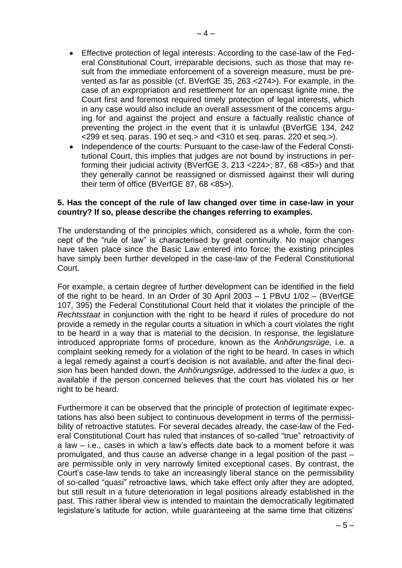- Effective protection of legal interests: According to the case-law of the Federal Constitutional Court, irreparable decisions, such as those that may result from the immediate enforcement of a sovereign measure, must be prevented as far as possible (cf. BVerfGE 35, 263 <274>). For example, in the case of an expropriation and resettlement for an opencast lignite mine, the Court first and foremost required timely protection of legal interests, which in any case would also include an overall assessment of the concerns arguing for and against the project and ensure a factually realistic chance of preventing the project in the event that it is unlawful (BVerfGE 134, 242 <299 et seq. paras. 190 et seq.> and <310 et seq. paras. 220 et seq.>).
- Independence of the courts: Pursuant to the case-law of the Federal Constitutional Court, this implies that judges are not bound by instructions in performing their judicial activity (BVerfGE 3, 213 <224>; 87, 68 <85>) and that they generally cannot be reassigned or dismissed against their will during their term of office (BVerfGE 87, 68 <85>).

#### **5. Has the concept of the rule of law changed over time in case-law in your country? If so, please describe the changes referring to examples.**

The understanding of the principles which, considered as a whole, form the concept of the "rule of law" is characterised by great continuity. No major changes have taken place since the Basic Law entered into force; the existing principles have simply been further developed in the case-law of the Federal Constitutional Court.

For example, a certain degree of further development can be identified in the field of the right to be heard. In an Order of 30 April 2003 – 1 PBvU 1/02 – (BVerfGE 107, 395) the Federal Constitutional Court held that it violates the principle of the *Rechtsstaat* in conjunction with the right to be heard if rules of procedure do not provide a remedy in the regular courts a situation in which a court violates the right to be heard in a way that is material to the decision. In response, the legislature introduced appropriate forms of procedure, known as the *Anhörungsrüge,* i.e. a complaint seeking remedy for a violation of the right to be heard. In cases in which a legal remedy against a court's decision is not available, and after the final decision has been handed down, the *Anhörungsrüge*, addressed to the *iudex a quo*, is available if the person concerned believes that the court has violated his or her right to be heard.

Furthermore it can be observed that the principle of protection of legitimate expectations has also been subject to continuous development in terms of the permissibility of retroactive statutes. For several decades already, the case-law of the Federal Constitutional Court has ruled that instances of so-called "true" retroactivity of a law – i.e., cases in which a law's effects date back to a moment before it was promulgated, and thus cause an adverse change in a legal position of the past – are permissible only in very narrowly limited exceptional cases. By contrast, the Court's case-law tends to take an increasingly liberal stance on the permissibility of so-called "quasi" retroactive laws, which take effect only after they are adopted, but still result in a future deterioration in legal positions already established in the past. This rather liberal view is intended to maintain the democratically legitimated legislature's latitude for action, while guaranteeing at the same time that citizens'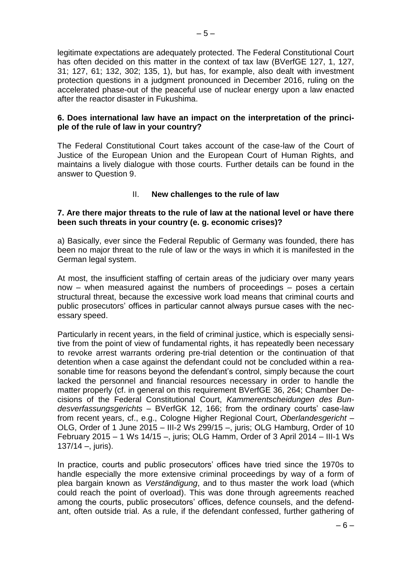legitimate expectations are adequately protected. The Federal Constitutional Court has often decided on this matter in the context of tax law (BVerfGE 127, 1, 127, 31; 127, 61; 132, 302; 135, 1), but has, for example, also dealt with investment protection questions in a judgment pronounced in December 2016, ruling on the accelerated phase-out of the peaceful use of nuclear energy upon a law enacted after the reactor disaster in Fukushima.

# **6. Does international law have an impact on the interpretation of the principle of the rule of law in your country?**

The Federal Constitutional Court takes account of the case-law of the Court of Justice of the European Union and the European Court of Human Rights, and maintains a lively dialogue with those courts. Further details can be found in the answer to Question 9.

# II. **New challenges to the rule of law**

# **7. Are there major threats to the rule of law at the national level or have there been such threats in your country (e. g. economic crises)?**

a) Basically, ever since the Federal Republic of Germany was founded, there has been no major threat to the rule of law or the ways in which it is manifested in the German legal system.

At most, the insufficient staffing of certain areas of the judiciary over many years now – when measured against the numbers of proceedings – poses a certain structural threat, because the excessive work load means that criminal courts and public prosecutors' offices in particular cannot always pursue cases with the necessary speed.

Particularly in recent years, in the field of criminal justice, which is especially sensitive from the point of view of fundamental rights, it has repeatedly been necessary to revoke arrest warrants ordering pre-trial detention or the continuation of that detention when a case against the defendant could not be concluded within a reasonable time for reasons beyond the defendant's control, simply because the court lacked the personnel and financial resources necessary in order to handle the matter properly (cf. in general on this requirement BVerfGE 36, 264; Chamber Decisions of the Federal Constitutional Court, *Kammerentscheidungen des Bundesverfassungsgerichts* – BVerfGK 12, 166; from the ordinary courts' case-law from recent years, cf., e.g., Cologne Higher Regional Court, *Oberlandesgericht –* OLG, Order of 1 June 2015 – III-2 Ws 299/15 –, juris; OLG Hamburg, Order of 10 February 2015 – 1 Ws 14/15 –, juris; OLG Hamm, Order of 3 April 2014 – III-1 Ws  $137/14 -$ , juris).

In practice, courts and public prosecutors' offices have tried since the 1970s to handle especially the more extensive criminal proceedings by way of a form of plea bargain known as *Verständigung*, and to thus master the work load (which could reach the point of overload). This was done through agreements reached among the courts, public prosecutors' offices, defence counsels, and the defendant, often outside trial. As a rule, if the defendant confessed, further gathering of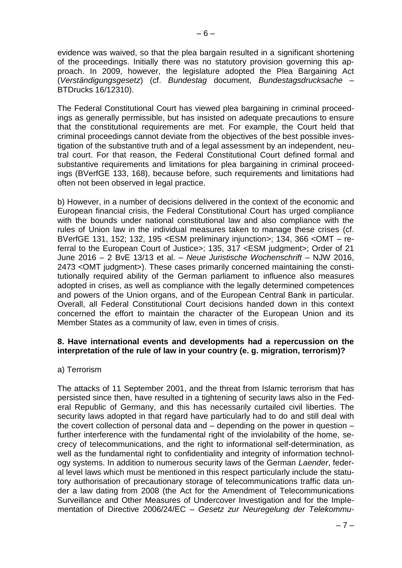evidence was waived, so that the plea bargain resulted in a significant shortening of the proceedings. Initially there was no statutory provision governing this approach. In 2009, however, the legislature adopted the Plea Bargaining Act (*Verständigungsgesetz*) (cf. *Bundestag* document, *Bundestagsdrucksache –* BTDrucks 16/12310).

The Federal Constitutional Court has viewed plea bargaining in criminal proceedings as generally permissible, but has insisted on adequate precautions to ensure that the constitutional requirements are met. For example, the Court held that criminal proceedings cannot deviate from the objectives of the best possible investigation of the substantive truth and of a legal assessment by an independent, neutral court. For that reason, the Federal Constitutional Court defined formal and substantive requirements and limitations for plea bargaining in criminal proceedings (BVerfGE 133, 168), because before, such requirements and limitations had often not been observed in legal practice.

b) However, in a number of decisions delivered in the context of the economic and European financial crisis, the Federal Constitutional Court has urged compliance with the bounds under national constitutional law and also compliance with the rules of Union law in the individual measures taken to manage these crises (cf. BVerfGE 131, 152; 132, 195 <ESM preliminary injunction>; 134, 366 <OMT – referral to the European Court of Justice>; 135, 317 <ESM judgment>; Order of 21 June 2016 – 2 BvE 13/13 et al. – *Neue Juristische Wochenschrift –* NJW 2016, 2473 <OMT judgment>). These cases primarily concerned maintaining the constitutionally required ability of the German parliament to influence also measures adopted in crises, as well as compliance with the legally determined competences and powers of the Union organs, and of the European Central Bank in particular. Overall, all Federal Constitutional Court decisions handed down in this context concerned the effort to maintain the character of the European Union and its Member States as a community of law, even in times of crisis.

#### **8. Have international events and developments had a repercussion on the interpretation of the rule of law in your country (e. g. migration, terrorism)?**

## a) Terrorism

The attacks of 11 September 2001, and the threat from Islamic terrorism that has persisted since then, have resulted in a tightening of security laws also in the Federal Republic of Germany, and this has necessarily curtailed civil liberties. The security laws adopted in that regard have particularly had to do and still deal with the covert collection of personal data and – depending on the power in question – further interference with the fundamental right of the inviolability of the home, secrecy of telecommunications, and the right to informational self-determination, as well as the fundamental right to confidentiality and integrity of information technology systems. In addition to numerous security laws of the German *Laender*, federal level laws which must be mentioned in this respect particularly include the statutory authorisation of precautionary storage of telecommunications traffic data under a law dating from 2008 (the Act for the Amendment of Telecommunications Surveillance and Other Measures of Undercover Investigation and for the Implementation of Directive 2006/24/EC – *Gesetz zur Neuregelung der Telekommu-*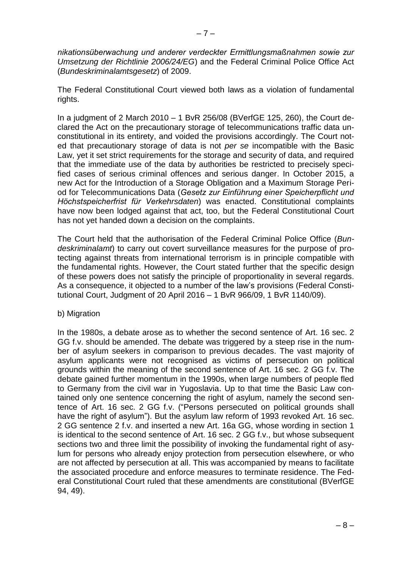*nikationsüberwachung und anderer verdeckter Ermittlungsmaßnahmen sowie zur Umsetzung der Richtlinie 2006/24/EG*) and the Federal Criminal Police Office Act (*Bundeskriminalamtsgesetz*) of 2009.

The Federal Constitutional Court viewed both laws as a violation of fundamental rights.

In a judgment of 2 March 2010 – 1 BvR 256/08 (BVerfGE 125, 260), the Court declared the Act on the precautionary storage of telecommunications traffic data unconstitutional in its entirety, and voided the provisions accordingly. The Court noted that precautionary storage of data is not *per se* incompatible with the Basic Law, yet it set strict requirements for the storage and security of data, and required that the immediate use of the data by authorities be restricted to precisely specified cases of serious criminal offences and serious danger. In October 2015, a new Act for the Introduction of a Storage Obligation and a Maximum Storage Period for Telecommunications Data (*Gesetz zur Einführung einer Speicherpflicht und Höchstspeicherfrist für Verkehrsdaten*) was enacted. Constitutional complaints have now been lodged against that act, too, but the Federal Constitutional Court has not yet handed down a decision on the complaints.

The Court held that the authorisation of the Federal Criminal Police Office (*Bundeskriminalamt*) to carry out covert surveillance measures for the purpose of protecting against threats from international terrorism is in principle compatible with the fundamental rights. However, the Court stated further that the specific design of these powers does not satisfy the principle of proportionality in several regards. As a consequence, it objected to a number of the law's provisions (Federal Constitutional Court, Judgment of 20 April 2016 – 1 BvR 966/09, 1 BvR 1140/09).

b) Migration

In the 1980s, a debate arose as to whether the second sentence of Art. 16 sec. 2 GG f.v. should be amended. The debate was triggered by a steep rise in the number of asylum seekers in comparison to previous decades. The vast majority of asylum applicants were not recognised as victims of persecution on political grounds within the meaning of the second sentence of Art. 16 sec. 2 GG f.v. The debate gained further momentum in the 1990s, when large numbers of people fled to Germany from the civil war in Yugoslavia. Up to that time the Basic Law contained only one sentence concerning the right of asylum, namely the second sentence of Art. 16 sec. 2 GG f.v. ("Persons persecuted on political grounds shall have the right of asylum"). But the asylum law reform of 1993 revoked Art. 16 sec. 2 GG sentence 2 f.v. and inserted a new Art. 16a GG, whose wording in section 1 is identical to the second sentence of Art. 16 sec. 2 GG f.v., but whose subsequent sections two and three limit the possibility of invoking the fundamental right of asylum for persons who already enjoy protection from persecution elsewhere, or who are not affected by persecution at all. This was accompanied by means to facilitate the associated procedure and enforce measures to terminate residence. The Federal Constitutional Court ruled that these amendments are constitutional (BVerfGE 94, 49).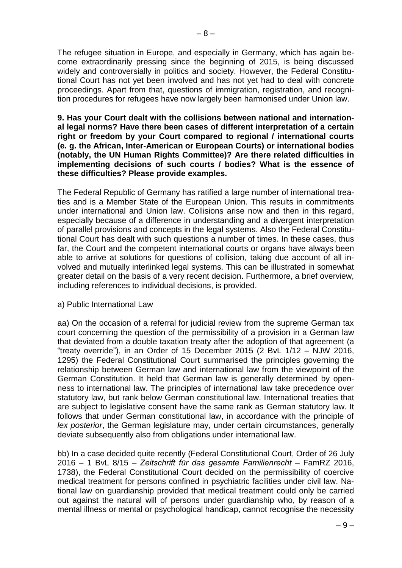The refugee situation in Europe, and especially in Germany, which has again become extraordinarily pressing since the beginning of 2015, is being discussed widely and controversially in politics and society. However, the Federal Constitutional Court has not yet been involved and has not yet had to deal with concrete proceedings. Apart from that, questions of immigration, registration, and recognition procedures for refugees have now largely been harmonised under Union law.

**9. Has your Court dealt with the collisions between national and international legal norms? Have there been cases of different interpretation of a certain right or freedom by your Court compared to regional / international courts (e. g. the African, Inter-American or European Courts) or international bodies (notably, the UN Human Rights Committee)? Are there related difficulties in implementing decisions of such courts / bodies? What is the essence of these difficulties? Please provide examples.** 

The Federal Republic of Germany has ratified a large number of international treaties and is a Member State of the European Union. This results in commitments under international and Union law. Collisions arise now and then in this regard, especially because of a difference in understanding and a divergent interpretation of parallel provisions and concepts in the legal systems. Also the Federal Constitutional Court has dealt with such questions a number of times. In these cases, thus far, the Court and the competent international courts or organs have always been able to arrive at solutions for questions of collision, taking due account of all involved and mutually interlinked legal systems. This can be illustrated in somewhat greater detail on the basis of a very recent decision. Furthermore, a brief overview, including references to individual decisions, is provided.

#### a) Public International Law

aa) On the occasion of a referral for judicial review from the supreme German tax court concerning the question of the permissibility of a provision in a German law that deviated from a double taxation treaty after the adoption of that agreement (a "treaty override"), in an Order of 15 December 2015 (2 BvL 1/12 *–* NJW 2016, 1295) the Federal Constitutional Court summarised the principles governing the relationship between German law and international law from the viewpoint of the German Constitution. It held that German law is generally determined by openness to international law. The principles of international law take precedence over statutory law, but rank below German constitutional law. International treaties that are subject to legislative consent have the same rank as German statutory law. It follows that under German constitutional law, in accordance with the principle of *lex posterior*, the German legislature may, under certain circumstances, generally deviate subsequently also from obligations under international law.

bb) In a case decided quite recently (Federal Constitutional Court, Order of 26 July 2016 – 1 BvL 8/15 – *Zeitschrift für das gesamte Familienrecht* – FamRZ 2016, 1738), the Federal Constitutional Court decided on the permissibility of coercive medical treatment for persons confined in psychiatric facilities under civil law. National law on guardianship provided that medical treatment could only be carried out against the natural will of persons under guardianship who, by reason of a mental illness or mental or psychological handicap, cannot recognise the necessity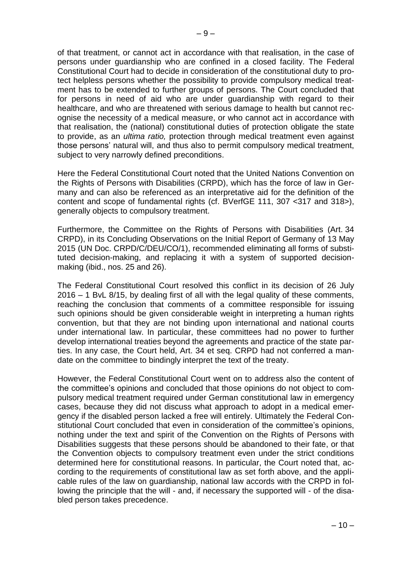of that treatment, or cannot act in accordance with that realisation, in the case of persons under guardianship who are confined in a closed facility. The Federal Constitutional Court had to decide in consideration of the constitutional duty to protect helpless persons whether the possibility to provide compulsory medical treatment has to be extended to further groups of persons. The Court concluded that for persons in need of aid who are under guardianship with regard to their healthcare, and who are threatened with serious damage to health but cannot recognise the necessity of a medical measure, or who cannot act in accordance with that realisation, the (national) constitutional duties of protection obligate the state to provide, as an *ultima ratio,* protection through medical treatment even against those persons' natural will, and thus also to permit compulsory medical treatment, subject to very narrowly defined preconditions.

Here the Federal Constitutional Court noted that the United Nations Convention on the Rights of Persons with Disabilities (CRPD), which has the force of law in Germany and can also be referenced as an interpretative aid for the definition of the content and scope of fundamental rights (cf. BVerfGE 111, 307 <317 and 318>), generally objects to compulsory treatment.

Furthermore, the Committee on the Rights of Persons with Disabilities (Art. 34 CRPD), in its Concluding Observations on the Initial Report of Germany of 13 May 2015 (UN Doc. CRPD/C/DEU/CO/1), recommended eliminating all forms of substituted decision-making, and replacing it with a system of supported decisionmaking (ibid., nos. 25 and 26).

The Federal Constitutional Court resolved this conflict in its decision of 26 July 2016 – 1 BvL 8/15, by dealing first of all with the legal quality of these comments, reaching the conclusion that comments of a committee responsible for issuing such opinions should be given considerable weight in interpreting a human rights convention, but that they are not binding upon international and national courts under international law. In particular, these committees had no power to further develop international treaties beyond the agreements and practice of the state parties. In any case, the Court held, Art. 34 et seq. CRPD had not conferred a mandate on the committee to bindingly interpret the text of the treaty.

However, the Federal Constitutional Court went on to address also the content of the committee's opinions and concluded that those opinions do not object to compulsory medical treatment required under German constitutional law in emergency cases, because they did not discuss what approach to adopt in a medical emergency if the disabled person lacked a free will entirely. Ultimately the Federal Constitutional Court concluded that even in consideration of the committee's opinions, nothing under the text and spirit of the Convention on the Rights of Persons with Disabilities suggests that these persons should be abandoned to their fate, or that the Convention objects to compulsory treatment even under the strict conditions determined here for constitutional reasons. In particular, the Court noted that, according to the requirements of constitutional law as set forth above, and the applicable rules of the law on guardianship, national law accords with the CRPD in following the principle that the will - and, if necessary the supported will - of the disabled person takes precedence.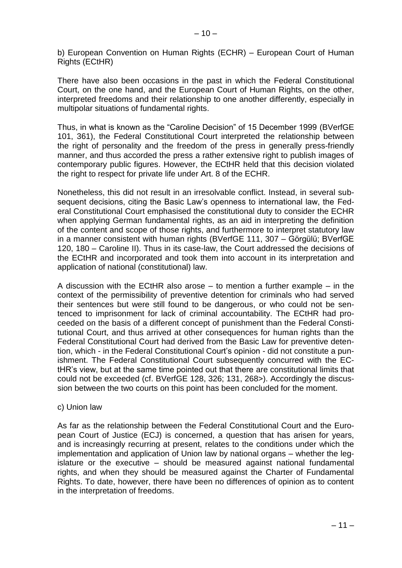b) European Convention on Human Rights (ECHR) – European Court of Human Rights (ECtHR)

There have also been occasions in the past in which the Federal Constitutional Court, on the one hand, and the European Court of Human Rights, on the other, interpreted freedoms and their relationship to one another differently, especially in multipolar situations of fundamental rights.

Thus, in what is known as the "Caroline Decision" of 15 December 1999 (BVerfGE 101, 361), the Federal Constitutional Court interpreted the relationship between the right of personality and the freedom of the press in generally press-friendly manner, and thus accorded the press a rather extensive right to publish images of contemporary public figures. However, the ECtHR held that this decision violated the right to respect for private life under Art. 8 of the ECHR.

Nonetheless, this did not result in an irresolvable conflict. Instead, in several subsequent decisions, citing the Basic Law's openness to international law, the Federal Constitutional Court emphasised the constitutional duty to consider the ECHR when applying German fundamental rights, as an aid in interpreting the definition of the content and scope of those rights, and furthermore to interpret statutory law in a manner consistent with human rights (BVerfGE 111, 307 – Görgülü; BVerfGE 120, 180 – Caroline II). Thus in its case-law, the Court addressed the decisions of the ECtHR and incorporated and took them into account in its interpretation and application of national (constitutional) law.

A discussion with the ECtHR also arose – to mention a further example – in the context of the permissibility of preventive detention for criminals who had served their sentences but were still found to be dangerous, or who could not be sentenced to imprisonment for lack of criminal accountability. The ECtHR had proceeded on the basis of a different concept of punishment than the Federal Constitutional Court, and thus arrived at other consequences for human rights than the Federal Constitutional Court had derived from the Basic Law for preventive detention, which - in the Federal Constitutional Court's opinion - did not constitute a punishment. The Federal Constitutional Court subsequently concurred with the ECtHR's view, but at the same time pointed out that there are constitutional limits that could not be exceeded (cf. BVerfGE 128, 326; 131, 268>). Accordingly the discussion between the two courts on this point has been concluded for the moment.

## c) Union law

As far as the relationship between the Federal Constitutional Court and the European Court of Justice (ECJ) is concerned, a question that has arisen for years, and is increasingly recurring at present, relates to the conditions under which the implementation and application of Union law by national organs – whether the legislature or the executive – should be measured against national fundamental rights, and when they should be measured against the Charter of Fundamental Rights. To date, however, there have been no differences of opinion as to content in the interpretation of freedoms.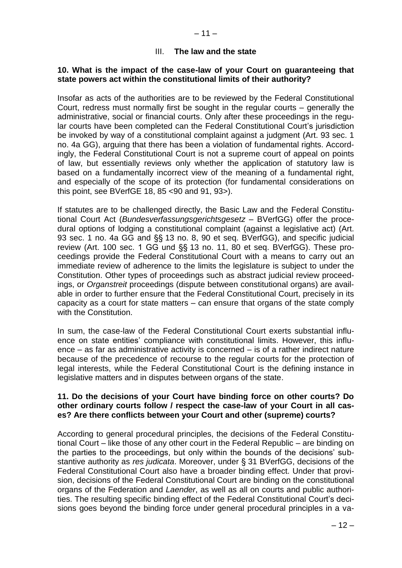#### III. **The law and the state**

#### **10. What is the impact of the case-law of your Court on guaranteeing that state powers act within the constitutional limits of their authority?**

Insofar as acts of the authorities are to be reviewed by the Federal Constitutional Court, redress must normally first be sought in the regular courts – generally the administrative, social or financial courts. Only after these proceedings in the regular courts have been completed can the Federal Constitutional Court's jurisdiction be invoked by way of a constitutional complaint against a judgment (Art. 93 sec. 1 no. 4a GG), arguing that there has been a violation of fundamental rights. Accordingly, the Federal Constitutional Court is not a supreme court of appeal on points of law, but essentially reviews only whether the application of statutory law is based on a fundamentally incorrect view of the meaning of a fundamental right, and especially of the scope of its protection (for fundamental considerations on this point, see BVerfGE 18, 85 <90 and 91, 93>).

If statutes are to be challenged directly, the Basic Law and the Federal Constitutional Court Act (*Bundesverfassungsgerichtsgesetz –* BVerfGG) offer the procedural options of lodging a constitutional complaint (against a legislative act) (Art. 93 sec. 1 no. 4a GG and §§ 13 no. 8, 90 et seq. BVerfGG), and specific judicial review (Art. 100 sec. 1 GG und §§ 13 no. 11, 80 et seq. BVerfGG). These proceedings provide the Federal Constitutional Court with a means to carry out an immediate review of adherence to the limits the legislature is subject to under the Constitution. Other types of proceedings such as abstract judicial review proceedings, or *Organstreit* proceedings (dispute between constitutional organs) are available in order to further ensure that the Federal Constitutional Court, precisely in its capacity as a court for state matters – can ensure that organs of the state comply with the Constitution.

In sum, the case-law of the Federal Constitutional Court exerts substantial influence on state entities' compliance with constitutional limits. However, this influence – as far as administrative activity is concerned – is of a rather indirect nature because of the precedence of recourse to the regular courts for the protection of legal interests, while the Federal Constitutional Court is the defining instance in legislative matters and in disputes between organs of the state.

#### **11. Do the decisions of your Court have binding force on other courts? Do other ordinary courts follow / respect the case-law of your Court in all cases? Are there conflicts between your Court and other (supreme) courts?**

According to general procedural principles, the decisions of the Federal Constitutional Court – like those of any other court in the Federal Republic – are binding on the parties to the proceedings, but only within the bounds of the decisions' substantive authority as *res judicata*. Moreover, under § 31 BVerfGG, decisions of the Federal Constitutional Court also have a broader binding effect. Under that provision, decisions of the Federal Constitutional Court are binding on the constitutional organs of the Federation and *Laender*, as well as all on courts and public authorities. The resulting specific binding effect of the Federal Constitutional Court's decisions goes beyond the binding force under general procedural principles in a va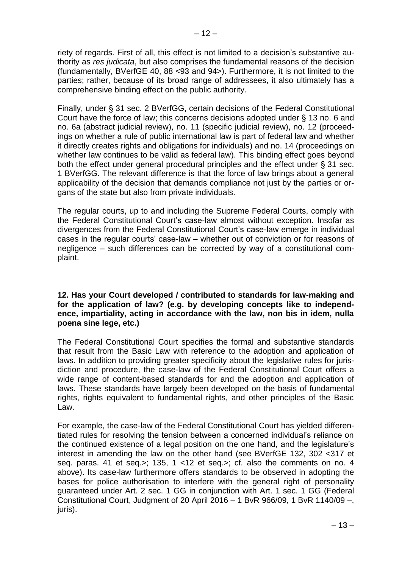riety of regards. First of all, this effect is not limited to a decision's substantive authority as *res judicata*, but also comprises the fundamental reasons of the decision (fundamentally, BVerfGE 40, 88 <93 and 94>). Furthermore, it is not limited to the parties; rather, because of its broad range of addressees, it also ultimately has a comprehensive binding effect on the public authority.

Finally, under § 31 sec. 2 BVerfGG, certain decisions of the Federal Constitutional Court have the force of law; this concerns decisions adopted under § 13 no. 6 and no. 6a (abstract judicial review), no. 11 (specific judicial review), no. 12 (proceedings on whether a rule of public international law is part of federal law and whether it directly creates rights and obligations for individuals) and no. 14 (proceedings on whether law continues to be valid as federal law). This binding effect goes beyond both the effect under general procedural principles and the effect under § 31 sec. 1 BVerfGG. The relevant difference is that the force of law brings about a general applicability of the decision that demands compliance not just by the parties or organs of the state but also from private individuals.

The regular courts, up to and including the Supreme Federal Courts, comply with the Federal Constitutional Court's case-law almost without exception. Insofar as divergences from the Federal Constitutional Court's case-law emerge in individual cases in the regular courts' case-law – whether out of conviction or for reasons of negligence – such differences can be corrected by way of a constitutional complaint.

## **12. Has your Court developed / contributed to standards for law-making and for the application of law? (e.g. by developing concepts like to independence, impartiality, acting in accordance with the law, non bis in idem, nulla poena sine lege, etc.)**

The Federal Constitutional Court specifies the formal and substantive standards that result from the Basic Law with reference to the adoption and application of laws. In addition to providing greater specificity about the legislative rules for jurisdiction and procedure, the case-law of the Federal Constitutional Court offers a wide range of content-based standards for and the adoption and application of laws. These standards have largely been developed on the basis of fundamental rights, rights equivalent to fundamental rights, and other principles of the Basic Law.

For example, the case-law of the Federal Constitutional Court has yielded differentiated rules for resolving the tension between a concerned individual's reliance on the continued existence of a legal position on the one hand, and the legislature's interest in amending the law on the other hand (see BVerfGE 132, 302 <317 et seq. paras. 41 et seq.>; 135, 1 <12 et seq.>; cf. also the comments on no. 4 above). Its case-law furthermore offers standards to be observed in adopting the bases for police authorisation to interfere with the general right of personality guaranteed under Art. 2 sec. 1 GG in conjunction with Art. 1 sec. 1 GG (Federal Constitutional Court, Judgment of 20 April 2016 – 1 BvR 966/09, 1 BvR 1140/09 –, juris).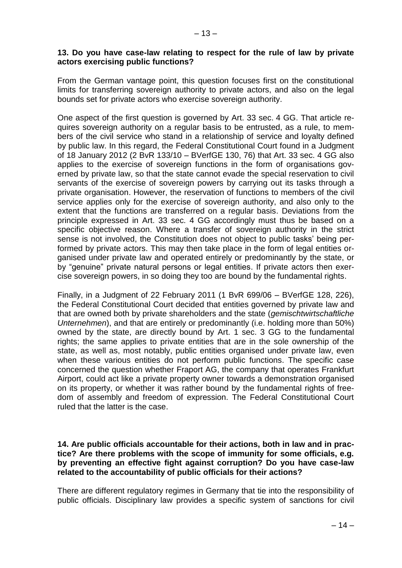## **13. Do you have case-law relating to respect for the rule of law by private actors exercising public functions?**

From the German vantage point, this question focuses first on the constitutional limits for transferring sovereign authority to private actors, and also on the legal bounds set for private actors who exercise sovereign authority.

One aspect of the first question is governed by Art. 33 sec. 4 GG. That article requires sovereign authority on a regular basis to be entrusted, as a rule, to members of the civil service who stand in a relationship of service and loyalty defined by public law. In this regard, the Federal Constitutional Court found in a Judgment of 18 January 2012 (2 BvR 133/10 – BVerfGE 130, 76) that Art. 33 sec. 4 GG also applies to the exercise of sovereign functions in the form of organisations governed by private law, so that the state cannot evade the special reservation to civil servants of the exercise of sovereign powers by carrying out its tasks through a private organisation. However, the reservation of functions to members of the civil service applies only for the exercise of sovereign authority, and also only to the extent that the functions are transferred on a regular basis. Deviations from the principle expressed in Art. 33 sec. 4 GG accordingly must thus be based on a specific objective reason. Where a transfer of sovereign authority in the strict sense is not involved, the Constitution does not object to public tasks' being performed by private actors. This may then take place in the form of legal entities organised under private law and operated entirely or predominantly by the state, or by "genuine" private natural persons or legal entities. If private actors then exercise sovereign powers, in so doing they too are bound by the fundamental rights.

Finally, in a Judgment of 22 February 2011 (1 BvR 699/06 – BVerfGE 128, 226), the Federal Constitutional Court decided that entities governed by private law and that are owned both by private shareholders and the state (*gemischtwirtschaftliche Unternehmen*), and that are entirely or predominantly (i.e. holding more than 50%) owned by the state, are directly bound by Art. 1 sec. 3 GG to the fundamental rights; the same applies to private entities that are in the sole ownership of the state, as well as, most notably, public entities organised under private law, even when these various entities do not perform public functions. The specific case concerned the question whether Fraport AG, the company that operates Frankfurt Airport, could act like a private property owner towards a demonstration organised on its property, or whether it was rather bound by the fundamental rights of freedom of assembly and freedom of expression. The Federal Constitutional Court ruled that the latter is the case.

#### **14. Are public officials accountable for their actions, both in law and in practice? Are there problems with the scope of immunity for some officials, e.g. by preventing an effective fight against corruption? Do you have case-law related to the accountability of public officials for their actions?**

There are different regulatory regimes in Germany that tie into the responsibility of public officials. Disciplinary law provides a specific system of sanctions for civil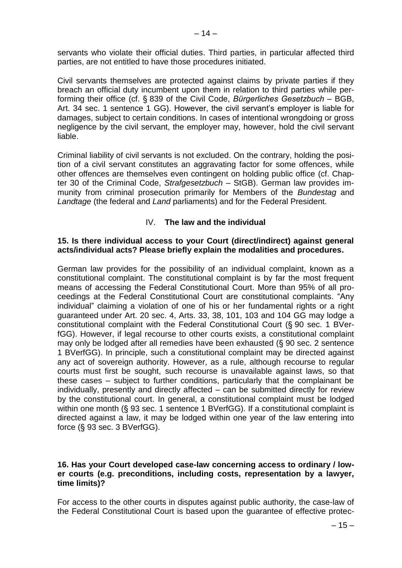servants who violate their official duties. Third parties, in particular affected third parties, are not entitled to have those procedures initiated.

Civil servants themselves are protected against claims by private parties if they breach an official duty incumbent upon them in relation to third parties while performing their office (cf. § 839 of the Civil Code, *Bürgerliches Gesetzbuch –* BGB, Art. 34 sec. 1 sentence 1 GG). However, the civil servant's employer is liable for damages, subject to certain conditions. In cases of intentional wrongdoing or gross negligence by the civil servant, the employer may, however, hold the civil servant liable.

Criminal liability of civil servants is not excluded. On the contrary, holding the position of a civil servant constitutes an aggravating factor for some offences, while other offences are themselves even contingent on holding public office (cf. Chapter 30 of the Criminal Code, *Strafgesetzbuch* – StGB). German law provides immunity from criminal prosecution primarily for Members of the *Bundestag* and *Landtage* (the federal and *Land* parliaments) and for the Federal President.

# IV. **The law and the individual**

#### **15. Is there individual access to your Court (direct/indirect) against general acts/individual acts? Please briefly explain the modalities and procedures.**

German law provides for the possibility of an individual complaint, known as a constitutional complaint. The constitutional complaint is by far the most frequent means of accessing the Federal Constitutional Court. More than 95% of all proceedings at the Federal Constitutional Court are constitutional complaints. "Any individual" claiming a violation of one of his or her fundamental rights or a right guaranteed under Art. 20 sec. 4, Arts. 33, 38, 101, 103 and 104 GG may lodge a constitutional complaint with the Federal Constitutional Court (§ 90 sec. 1 BVerfGG). However, if legal recourse to other courts exists, a constitutional complaint may only be lodged after all remedies have been exhausted (§ 90 sec. 2 sentence 1 BVerfGG). In principle, such a constitutional complaint may be directed against any act of sovereign authority. However, as a rule, although recourse to regular courts must first be sought, such recourse is unavailable against laws, so that these cases – subject to further conditions, particularly that the complainant be individually, presently and directly affected – can be submitted directly for review by the constitutional court. In general, a constitutional complaint must be lodged within one month (§ 93 sec. 1 sentence 1 BVerfGG). If a constitutional complaint is directed against a law, it may be lodged within one year of the law entering into force (§ 93 sec. 3 BVerfGG).

#### **16. Has your Court developed case-law concerning access to ordinary / lower courts (e.g. preconditions, including costs, representation by a lawyer, time limits)?**

For access to the other courts in disputes against public authority, the case-law of the Federal Constitutional Court is based upon the guarantee of effective protec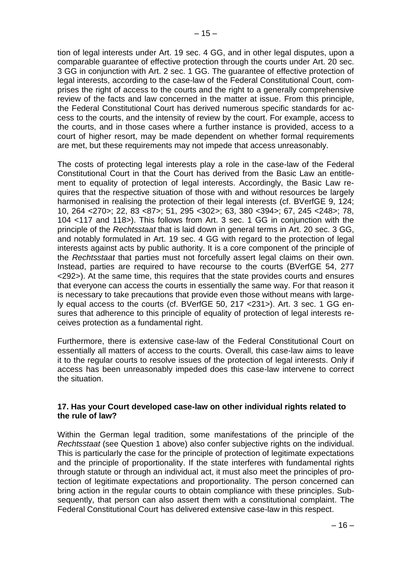tion of legal interests under Art. 19 sec. 4 GG, and in other legal disputes, upon a comparable guarantee of effective protection through the courts under Art. 20 sec. 3 GG in conjunction with Art. 2 sec. 1 GG. The guarantee of effective protection of legal interests, according to the case-law of the Federal Constitutional Court, comprises the right of access to the courts and the right to a generally comprehensive review of the facts and law concerned in the matter at issue. From this principle, the Federal Constitutional Court has derived numerous specific standards for access to the courts, and the intensity of review by the court. For example, access to the courts, and in those cases where a further instance is provided, access to a court of higher resort, may be made dependent on whether formal requirements are met, but these requirements may not impede that access unreasonably.

The costs of protecting legal interests play a role in the case-law of the Federal Constitutional Court in that the Court has derived from the Basic Law an entitlement to equality of protection of legal interests. Accordingly, the Basic Law requires that the respective situation of those with and without resources be largely harmonised in realising the protection of their legal interests (cf. BVerfGE 9, 124; 10, 264 <270>; 22, 83 <87>; 51, 295 <302>; 63, 380 <394>; 67, 245 <248>; 78, 104 <117 and 118>). This follows from Art. 3 sec. 1 GG in conjunction with the principle of the *Rechtsstaat* that is laid down in general terms in Art. 20 sec. 3 GG, and notably formulated in Art. 19 sec. 4 GG with regard to the protection of legal interests against acts by public authority. It is a core component of the principle of the *Rechtsstaat* that parties must not forcefully assert legal claims on their own. Instead, parties are required to have recourse to the courts (BVerfGE 54, 277 <292>). At the same time, this requires that the state provides courts and ensures that everyone can access the courts in essentially the same way. For that reason it is necessary to take precautions that provide even those without means with largely equal access to the courts (cf. BVerfGE 50, 217 <231>). Art. 3 sec. 1 GG ensures that adherence to this principle of equality of protection of legal interests receives protection as a fundamental right.

Furthermore, there is extensive case-law of the Federal Constitutional Court on essentially all matters of access to the courts. Overall, this case-law aims to leave it to the regular courts to resolve issues of the protection of legal interests. Only if access has been unreasonably impeded does this case-law intervene to correct the situation.

## **17. Has your Court developed case-law on other individual rights related to the rule of law?**

Within the German legal tradition, some manifestations of the principle of the *Rechtsstaat* (see Question 1 above) also confer subjective rights on the individual. This is particularly the case for the principle of protection of legitimate expectations and the principle of proportionality. If the state interferes with fundamental rights through statute or through an individual act, it must also meet the principles of protection of legitimate expectations and proportionality. The person concerned can bring action in the regular courts to obtain compliance with these principles. Subsequently, that person can also assert them with a constitutional complaint. The Federal Constitutional Court has delivered extensive case-law in this respect.